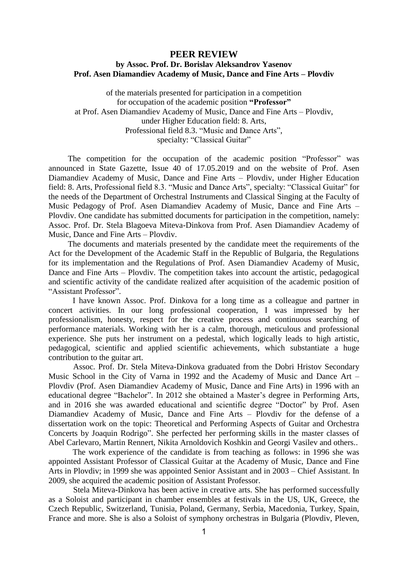## **PEER REVIEW**

## **by Assoc. Prof. Dr. Borislav Aleksandrov Yasenov Prof. Asen Diamandiev Academy of Music, Dance and Fine Arts – Plovdiv**

of the materials presented for participation in a competition for occupation of the academic position **"Professor"** at Prof. Asen Diamandiev Academy of Music, Dance and Fine Arts – Plovdiv, under Higher Education field: 8. Arts, Professional field 8.3. "Music and Dance Arts", specialty: "Classical Guitar"

The competition for the occupation of the academic position "Professor" was announced in State Gazette, Issue 40 of 17.05.2019 and on the website of Prof. Asen Diamandiev Academy of Music, Dance and Fine Arts – Plovdiv, under Higher Education field: 8. Arts, Professional field 8.3. "Music and Dance Arts", specialty: "Classical Guitar" for the needs of the Department of Orchestral Instruments and Classical Singing at the Faculty of Music Pedagogy of Prof. Asen Diamandiev Academy of Music, Dance and Fine Arts – Plovdiv. One candidate has submitted documents for participation in the competition, namely: Assoc. Prof. Dr. Stela Blagoeva Miteva-Dinkova from Prof. Asen Diamandiev Academy of Music, Dance and Fine Arts – Plovdiv.

The documents and materials presented by the candidate meet the requirements of the Act for the Development of the Academic Staff in the Republic of Bulgaria, the Regulations for its implementation and the Regulations of Prof. Asen Diamandiev Academy of Music, Dance and Fine Arts – Plovdiv. The competition takes into account the artistic, pedagogical and scientific activity of the candidate realized after acquisition of the academic position of "Assistant Professor".

I have known Assoc. Prof. Dinkova for a long time as a colleague and partner in concert activities. In our long professional cooperation, I was impressed by her professionalism, honesty, respect for the creative process and continuous searching of performance materials. Working with her is a calm, thorough, meticulous and professional experience. She puts her instrument on a pedestal, which logically leads to high artistic, pedagogical, scientific and applied scientific achievements, which substantiate a huge contribution to the guitar art.

Assoc. Prof. Dr. Stela Miteva-Dinkova graduated from the Dobri Hristov Secondary Music School in the City of Varna in 1992 and the Academy of Music and Dance Art – Plovdiv (Prof. Asen Diamandiev Academy of Music, Dance and Fine Arts) in 1996 with an educational degree "Bachelor". In 2012 she obtained a Master's degree in Performing Arts, and in 2016 she was awarded educational and scientific degree "Doctor" by Prof. Asen Diamandiev Academy of Music, Dance and Fine Arts – Plovdiv for the defense of a dissertation work on the topic: Theoretical and Performing Aspects of Guitar and Orchestra Concerts by Joaquin Rodrigo". She perfected her performing skills in the master classes of Abel Carlevaro, Martin Rennert, Nikita Arnoldovich Koshkin and Georgi Vasilev and others..

The work experience of the candidate is from teaching as follows: in 1996 she was appointed Assistant Professor of Classical Guitar at the Academy of Music, Dance and Fine Arts in Plovdiv; in 1999 she was appointed Senior Assistant and in 2003 – Chief Assistant. In 2009, she acquired the academic position of Assistant Professor.

Stela Miteva-Dinkova has been active in creative arts. She has performed successfully as a Soloist and participant in chamber ensembles at festivals in the US, UK, Greece, the Czech Republic, Switzerland, Tunisia, Poland, Germany, Serbia, Macedonia, Turkey, Spain, France and more. She is also a Soloist of symphony orchestras in Bulgaria (Plovdiv, Pleven,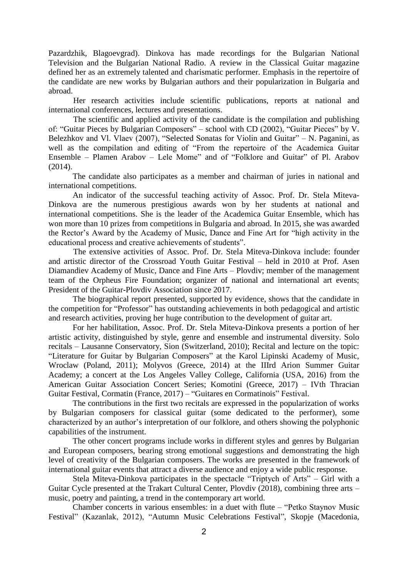Pazardzhik, Blagoevgrad). Dinkova has made recordings for the Bulgarian National Television and the Bulgarian National Radio. A review in the Classical Guitar magazine defined her as an extremely talented and charismatic performer. Emphasis in the repertoire of the candidate are new works by Bulgarian authors and their popularization in Bulgaria and abroad.

Her research activities include scientific publications, reports at national and international conferences, lectures and presentations.

The scientific and applied activity of the candidate is the compilation and publishing of: "Guitar Pieces by Bulgarian Composers" – school with CD (2002), "Guitar Pieces" by V. Belezhkov and Vl. Vlaev (2007), "Selected Sonatas for Violin and Guitar" – N. Paganini, as well as the compilation and editing of "From the repertoire of the Academica Guitar Ensemble – Plamen Arabov – Lele Mome" and of "Folklore and Guitar" of Pl. Arabov (2014).

The candidate also participates as a member and chairman of juries in national and international competitions.

An indicator of the successful teaching activity of Assoc. Prof. Dr. Stela Miteva-Dinkova are the numerous prestigious awards won by her students at national and international competitions. She is the leader of the Academica Guitar Ensemble, which has won more than 10 prizes from competitions in Bulgaria and abroad. In 2015, she was awarded the Rector's Award by the Academy of Music, Dance and Fine Art for "high activity in the educational process and creative achievements of students".

The extensive activities of Assoc. Prof. Dr. Stela Miteva-Dinkova include: founder and artistic director of the Crossroad Youth Guitar Festival – held in 2010 at Prof. Asen Diamandiev Academy of Music, Dance and Fine Arts – Plovdiv; member of the management team of the Orpheus Fire Foundation; organizer of national and international art events; President of the Guitar-Plovdiv Association since 2017.

The biographical report presented, supported by evidence, shows that the candidate in the competition for "Professor" has outstanding achievements in both pedagogical and artistic and research activities, proving her huge contribution to the development of guitar art.

For her habilitation, Assoc. Prof. Dr. Stela Miteva-Dinkova presents a portion of her artistic activity, distinguished by style, genre and ensemble and instrumental diversity. Solo recitals – Lausanne Conservatory, Sion (Switzerland, 2010); Recital and lecture on the topic: "Literature for Guitar by Bulgarian Composers" at the Karol Lipinski Academy of Music, Wroclaw (Poland, 2011); Molyvos (Greece, 2014) at the IIIrd Arion Summer Guitar Academy; a concert at the Los Angeles Valley College, California (USA, 2016) from the American Guitar Association Concert Series; Komotini (Greece, 2017) – IVth Thracian Guitar Festival, Cormatin (France, 2017) – "Guitares en Cormatinois" Festival.

The contributions in the first two recitals are expressed in the popularization of works by Bulgarian composers for classical guitar (some dedicated to the performer), some characterized by an author's interpretation of our folklore, and others showing the polyphonic capabilities of the instrument.

The other concert programs include works in different styles and genres by Bulgarian and European composers, bearing strong emotional suggestions and demonstrating the high level of creativity of the Bulgarian composers. The works are presented in the framework of international guitar events that attract a diverse audience and enjoy a wide public response.

Stela Miteva-Dinkova participates in the spectacle "Triptych of Arts" – Girl with a Guitar Cycle presented at the Trakart Cultural Center, Plovdiv (2018), combining three arts – music, poetry and painting, a trend in the contemporary art world.

Chamber concerts in various ensembles: in a duet with flute – "Petko Staynov Music Festival" (Kazanlak, 2012), "Autumn Music Celebrations Festival", Skopje (Macedonia,